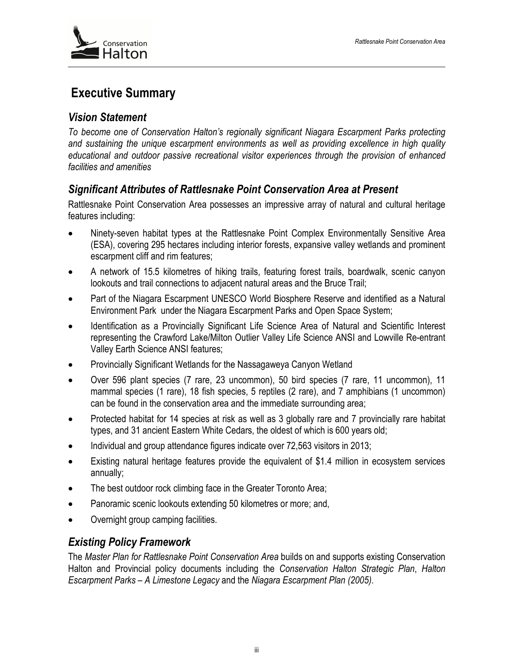

# **Executive Summary**

#### *Vision Statement*

*To become one of Conservation Halton's regionally significant Niagara Escarpment Parks protecting and sustaining the unique escarpment environments as well as providing excellence in high quality educational and outdoor passive recreational visitor experiences through the provision of enhanced facilities and amenities* 

## *Significant Attributes of Rattlesnake Point Conservation Area at Present*

Rattlesnake Point Conservation Area possesses an impressive array of natural and cultural heritage features including:

- Ninety-seven habitat types at the Rattlesnake Point Complex Environmentally Sensitive Area (ESA), covering 295 hectares including interior forests, expansive valley wetlands and prominent escarpment cliff and rim features;
- A network of 15.5 kilometres of hiking trails, featuring forest trails, boardwalk, scenic canyon lookouts and trail connections to adjacent natural areas and the Bruce Trail;
- Part of the Niagara Escarpment UNESCO World Biosphere Reserve and identified as a Natural Environment Park under the Niagara Escarpment Parks and Open Space System;
- Identification as a Provincially Significant Life Science Area of Natural and Scientific Interest representing the Crawford Lake/Milton Outlier Valley Life Science ANSI and Lowville Re-entrant Valley Earth Science ANSI features;
- Provincially Significant Wetlands for the Nassagaweya Canyon Wetland
- Over 596 plant species (7 rare, 23 uncommon), 50 bird species (7 rare, 11 uncommon), 11 mammal species (1 rare), 18 fish species, 5 reptiles (2 rare), and 7 amphibians (1 uncommon) can be found in the conservation area and the immediate surrounding area;
- Protected habitat for 14 species at risk as well as 3 globally rare and 7 provincially rare habitat types, and 31 ancient Eastern White Cedars, the oldest of which is 600 years old;
- Individual and group attendance figures indicate over 72,563 visitors in 2013;
- Existing natural heritage features provide the equivalent of \$1.4 million in ecosystem services annually;
- The best outdoor rock climbing face in the Greater Toronto Area;
- Panoramic scenic lookouts extending 50 kilometres or more; and,
- Overnight group camping facilities.

## *Existing Policy Framework*

The *Master Plan for Rattlesnake Point Conservation Area* builds on and supports existing Conservation Halton and Provincial policy documents including the *Conservation Halton Strategic Plan*, *Halton Escarpment Parks – A Limestone Legacy* and the *Niagara Escarpment Plan (2005)*.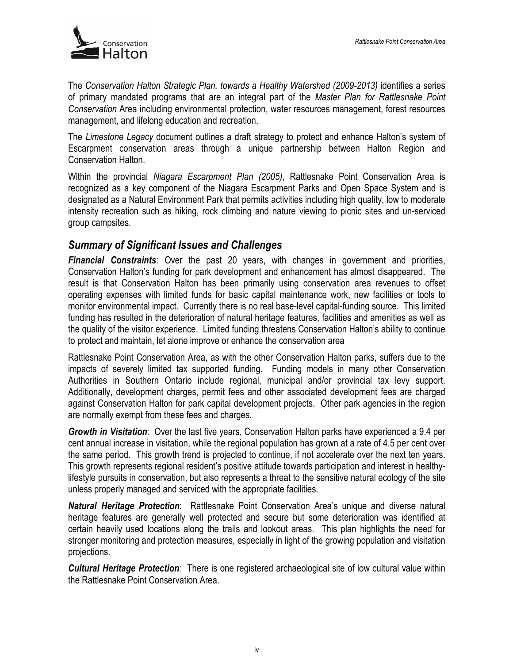

The *Conservation Halton Strategic Plan, towards a Healthy Watershed (2009-2013)* identifies a series of primary mandated programs that are an integral part of the *Master Plan for Rattlesnake Point Conservation* Area including environmental protection, water resources management, forest resources management, and lifelong education and recreation.

The *Limestone Legacy* document outlines a draft strategy to protect and enhance Halton's system of Escarpment conservation areas through a unique partnership between Halton Region and Conservation Halton.

Within the provincial *Niagara Escarpment Plan (2005)*, Rattlesnake Point Conservation Area is recognized as a key component of the Niagara Escarpment Parks and Open Space System and is designated as a Natural Environment Park that permits activities including high quality, low to moderate intensity recreation such as hiking, rock climbing and nature viewing to picnic sites and un-serviced group campsites.

## *Summary of Significant Issues and Challenges*

*Financial Constraints*: Over the past 20 years, with changes in government and priorities, Conservation Halton's funding for park development and enhancement has almost disappeared. The result is that Conservation Halton has been primarily using conservation area revenues to offset operating expenses with limited funds for basic capital maintenance work, new facilities or tools to monitor environmental impact. Currently there is no real base-level capital-funding source. This limited funding has resulted in the deterioration of natural heritage features, facilities and amenities as well as the quality of the visitor experience. Limited funding threatens Conservation Halton's ability to continue to protect and maintain, let alone improve or enhance the conservation area

Rattlesnake Point Conservation Area, as with the other Conservation Halton parks, suffers due to the impacts of severely limited tax supported funding. Funding models in many other Conservation Authorities in Southern Ontario include regional, municipal and/or provincial tax levy support. Additionally, development charges, permit fees and other associated development fees are charged against Conservation Halton for park capital development projects. Other park agencies in the region are normally exempt from these fees and charges.

*Growth in Visitation*: Over the last five years, Conservation Halton parks have experienced a 9.4 per cent annual increase in visitation, while the regional population has grown at a rate of 4.5 per cent over the same period. This growth trend is projected to continue, if not accelerate over the next ten years. This growth represents regional resident's positive attitude towards participation and interest in healthylifestyle pursuits in conservation, but also represents a threat to the sensitive natural ecology of the site unless properly managed and serviced with the appropriate facilities.

*Natural Heritage Protection*: Rattlesnake Point Conservation Area's unique and diverse natural heritage features are generally well protected and secure but some deterioration was identified at certain heavily used locations along the trails and lookout areas. This plan highlights the need for stronger monitoring and protection measures, especially in light of the growing population and visitation projections.

*Cultural Heritage Protection:* There is one registered archaeological site of low cultural value within the Rattlesnake Point Conservation Area.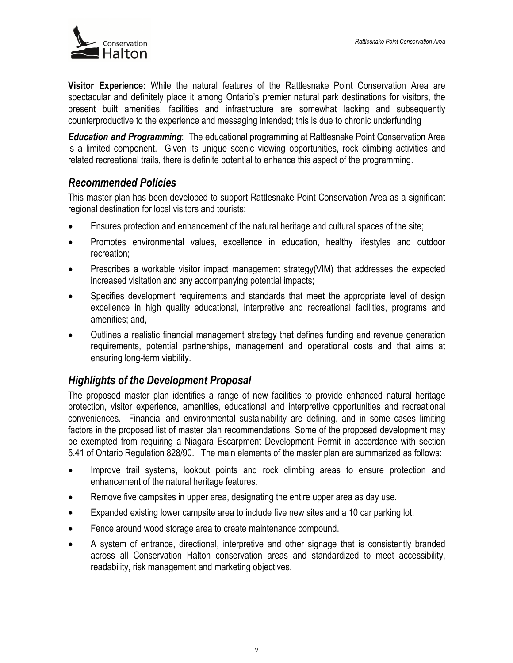

**Visitor Experience:** While the natural features of the Rattlesnake Point Conservation Area are spectacular and definitely place it among Ontario's premier natural park destinations for visitors, the present built amenities, facilities and infrastructure are somewhat lacking and subsequently counterproductive to the experience and messaging intended; this is due to chronic underfunding

*Education and Programming*: The educational programming at Rattlesnake Point Conservation Area is a limited component. Given its unique scenic viewing opportunities, rock climbing activities and related recreational trails, there is definite potential to enhance this aspect of the programming.

#### *Recommended Policies*

This master plan has been developed to support Rattlesnake Point Conservation Area as a significant regional destination for local visitors and tourists:

- Ensures protection and enhancement of the natural heritage and cultural spaces of the site;
- Promotes environmental values, excellence in education, healthy lifestyles and outdoor recreation;
- Prescribes a workable visitor impact management strategy(VIM) that addresses the expected increased visitation and any accompanying potential impacts;
- Specifies development requirements and standards that meet the appropriate level of design excellence in high quality educational, interpretive and recreational facilities, programs and amenities; and,
- Outlines a realistic financial management strategy that defines funding and revenue generation requirements, potential partnerships, management and operational costs and that aims at ensuring long-term viability.

## *Highlights of the Development Proposal*

The proposed master plan identifies a range of new facilities to provide enhanced natural heritage protection, visitor experience, amenities, educational and interpretive opportunities and recreational conveniences. Financial and environmental sustainability are defining, and in some cases limiting factors in the proposed list of master plan recommendations. Some of the proposed development may be exempted from requiring a Niagara Escarpment Development Permit in accordance with section 5.41 of Ontario Regulation 828/90. The main elements of the master plan are summarized as follows:

- Improve trail systems, lookout points and rock climbing areas to ensure protection and enhancement of the natural heritage features.
- Remove five campsites in upper area, designating the entire upper area as day use.
- Expanded existing lower campsite area to include five new sites and a 10 car parking lot.
- Fence around wood storage area to create maintenance compound.
- A system of entrance, directional, interpretive and other signage that is consistently branded across all Conservation Halton conservation areas and standardized to meet accessibility, readability, risk management and marketing objectives.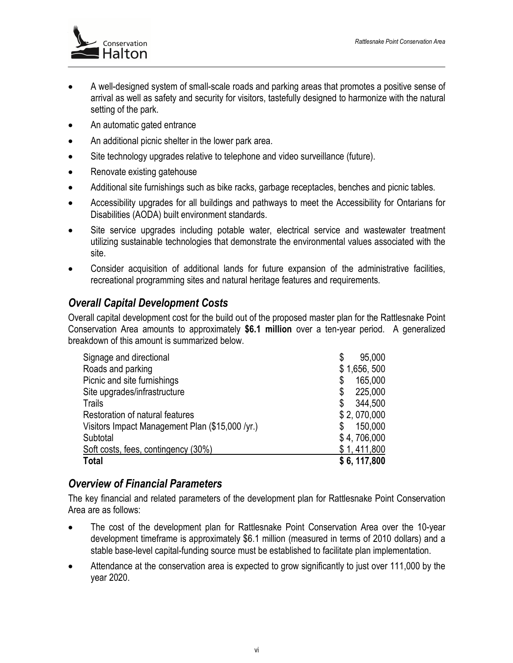

- A well-designed system of small-scale roads and parking areas that promotes a positive sense of arrival as well as safety and security for visitors, tastefully designed to harmonize with the natural setting of the park.
- An automatic gated entrance
- An additional picnic shelter in the lower park area.
- Site technology upgrades relative to telephone and video surveillance (future).
- Renovate existing gatehouse
- Additional site furnishings such as bike racks, garbage receptacles, benches and picnic tables.
- Accessibility upgrades for all buildings and pathways to meet the Accessibility for Ontarians for Disabilities (AODA) built environment standards.
- Site service upgrades including potable water, electrical service and wastewater treatment utilizing sustainable technologies that demonstrate the environmental values associated with the site.
- Consider acquisition of additional lands for future expansion of the administrative facilities, recreational programming sites and natural heritage features and requirements.

# *Overall Capital Development Costs*

Overall capital development cost for the build out of the proposed master plan for the Rattlesnake Point Conservation Area amounts to approximately **\$6.1 million** over a ten-year period. A generalized breakdown of this amount is summarized below.

| Signage and directional                         | 95,000<br>\$  |
|-------------------------------------------------|---------------|
| Roads and parking                               | \$1,656,500   |
| Picnic and site furnishings                     | 165,000<br>\$ |
| Site upgrades/infrastructure                    | 225,000<br>\$ |
| Trails                                          | 344,500<br>\$ |
| Restoration of natural features                 | \$2,070,000   |
| Visitors Impact Management Plan (\$15,000 /yr.) | 150,000<br>\$ |
| Subtotal                                        | \$4,706,000   |
| Soft costs, fees, contingency (30%)             | \$1,411,800   |
| <b>Total</b>                                    | \$6, 117,800  |

## *Overview of Financial Parameters*

The key financial and related parameters of the development plan for Rattlesnake Point Conservation Area are as follows:

- The cost of the development plan for Rattlesnake Point Conservation Area over the 10-year development timeframe is approximately \$6.1 million (measured in terms of 2010 dollars) and a stable base-level capital-funding source must be established to facilitate plan implementation.
- Attendance at the conservation area is expected to grow significantly to just over 111,000 by the year 2020.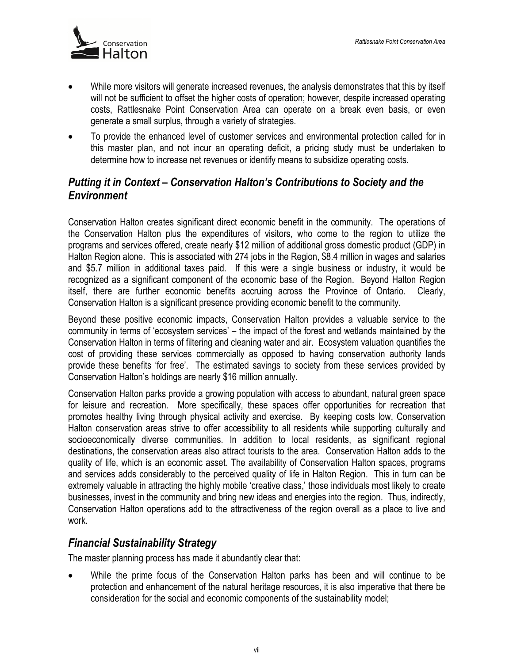

- While more visitors will generate increased revenues, the analysis demonstrates that this by itself will not be sufficient to offset the higher costs of operation; however, despite increased operating costs, Rattlesnake Point Conservation Area can operate on a break even basis, or even generate a small surplus, through a variety of strategies.
- To provide the enhanced level of customer services and environmental protection called for in this master plan, and not incur an operating deficit, a pricing study must be undertaken to determine how to increase net revenues or identify means to subsidize operating costs.

## *Putting it in Context – Conservation Halton's Contributions to Society and the Environment*

Conservation Halton creates significant direct economic benefit in the community. The operations of the Conservation Halton plus the expenditures of visitors, who come to the region to utilize the programs and services offered, create nearly \$12 million of additional gross domestic product (GDP) in Halton Region alone. This is associated with 274 jobs in the Region, \$8.4 million in wages and salaries and \$5.7 million in additional taxes paid. If this were a single business or industry, it would be recognized as a significant component of the economic base of the Region. Beyond Halton Region itself, there are further economic benefits accruing across the Province of Ontario. Clearly, Conservation Halton is a significant presence providing economic benefit to the community.

Beyond these positive economic impacts, Conservation Halton provides a valuable service to the community in terms of 'ecosystem services' – the impact of the forest and wetlands maintained by the Conservation Halton in terms of filtering and cleaning water and air. Ecosystem valuation quantifies the cost of providing these services commercially as opposed to having conservation authority lands provide these benefits 'for free'. The estimated savings to society from these services provided by Conservation Halton's holdings are nearly \$16 million annually.

Conservation Halton parks provide a growing population with access to abundant, natural green space for leisure and recreation. More specifically, these spaces offer opportunities for recreation that promotes healthy living through physical activity and exercise. By keeping costs low, Conservation Halton conservation areas strive to offer accessibility to all residents while supporting culturally and socioeconomically diverse communities. In addition to local residents, as significant regional destinations, the conservation areas also attract tourists to the area. Conservation Halton adds to the quality of life, which is an economic asset. The availability of Conservation Halton spaces, programs and services adds considerably to the perceived quality of life in Halton Region. This in turn can be extremely valuable in attracting the highly mobile 'creative class,' those individuals most likely to create businesses, invest in the community and bring new ideas and energies into the region. Thus, indirectly, Conservation Halton operations add to the attractiveness of the region overall as a place to live and work.

## *Financial Sustainability Strategy*

The master planning process has made it abundantly clear that:

• While the prime focus of the Conservation Halton parks has been and will continue to be protection and enhancement of the natural heritage resources, it is also imperative that there be consideration for the social and economic components of the sustainability model;